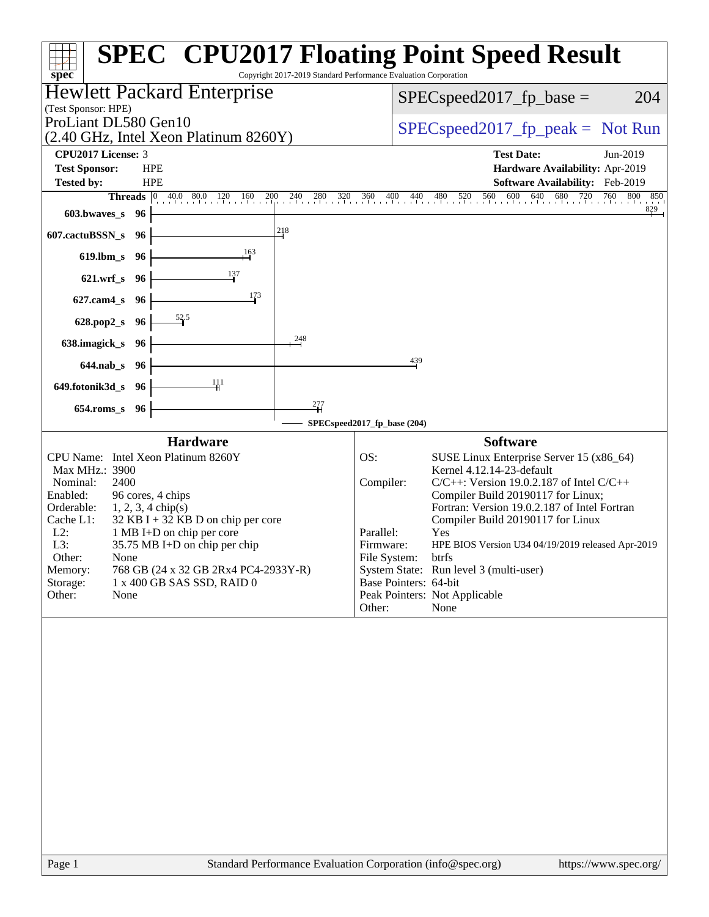| spec <sup>®</sup>                                                                                                                                                                                                                                                                                                                                                                                                                                | <b>SPEC<sup>®</sup> CPU2017 Floating Point Speed Result</b><br>Copyright 2017-2019 Standard Performance Evaluation Corporation                                                                                                                                                                                                                                                                                                                                                                                                |
|--------------------------------------------------------------------------------------------------------------------------------------------------------------------------------------------------------------------------------------------------------------------------------------------------------------------------------------------------------------------------------------------------------------------------------------------------|-------------------------------------------------------------------------------------------------------------------------------------------------------------------------------------------------------------------------------------------------------------------------------------------------------------------------------------------------------------------------------------------------------------------------------------------------------------------------------------------------------------------------------|
| <b>Hewlett Packard Enterprise</b>                                                                                                                                                                                                                                                                                                                                                                                                                | 204<br>$SPEC speed2017_fp\_base =$                                                                                                                                                                                                                                                                                                                                                                                                                                                                                            |
| (Test Sponsor: HPE)<br>ProLiant DL580 Gen10<br>(2.40 GHz, Intel Xeon Platinum 8260Y)                                                                                                                                                                                                                                                                                                                                                             | $SPEC speed2017fr peak = Not Run$                                                                                                                                                                                                                                                                                                                                                                                                                                                                                             |
| CPU2017 License: 3                                                                                                                                                                                                                                                                                                                                                                                                                               | <b>Test Date:</b><br>Jun-2019                                                                                                                                                                                                                                                                                                                                                                                                                                                                                                 |
| <b>Test Sponsor:</b><br><b>HPE</b>                                                                                                                                                                                                                                                                                                                                                                                                               | Hardware Availability: Apr-2019                                                                                                                                                                                                                                                                                                                                                                                                                                                                                               |
| <b>Tested by:</b><br><b>HPE</b><br>200                                                                                                                                                                                                                                                                                                                                                                                                           | Software Availability: Feb-2019<br>760 800 850                                                                                                                                                                                                                                                                                                                                                                                                                                                                                |
| <b>Threads</b> $\begin{bmatrix} 0 & 40.0 & 80.0 & 120 & 160 & 2 \end{bmatrix}$<br>603.bwaves_s<br>96                                                                                                                                                                                                                                                                                                                                             | 240 280 320 360 400 440 480 520 560 600 640 680 720 760 80<br>and and<br>829                                                                                                                                                                                                                                                                                                                                                                                                                                                  |
| 218<br>607.cactuBSSN_s<br>96                                                                                                                                                                                                                                                                                                                                                                                                                     |                                                                                                                                                                                                                                                                                                                                                                                                                                                                                                                               |
| 163<br>$619$ .lbm_s<br>96                                                                                                                                                                                                                                                                                                                                                                                                                        |                                                                                                                                                                                                                                                                                                                                                                                                                                                                                                                               |
| 137<br>$621.wrf$ <sub>S</sub><br>96                                                                                                                                                                                                                                                                                                                                                                                                              |                                                                                                                                                                                                                                                                                                                                                                                                                                                                                                                               |
| 173<br>$627$ .cam $4$ <sub>S</sub><br>96                                                                                                                                                                                                                                                                                                                                                                                                         |                                                                                                                                                                                                                                                                                                                                                                                                                                                                                                                               |
| 52.5<br>628.pop2_s<br>96                                                                                                                                                                                                                                                                                                                                                                                                                         |                                                                                                                                                                                                                                                                                                                                                                                                                                                                                                                               |
| 248<br>638.imagick_s<br>- 96                                                                                                                                                                                                                                                                                                                                                                                                                     |                                                                                                                                                                                                                                                                                                                                                                                                                                                                                                                               |
| $644$ .nab $\sf s$<br>-96                                                                                                                                                                                                                                                                                                                                                                                                                        | 439                                                                                                                                                                                                                                                                                                                                                                                                                                                                                                                           |
| 111<br>649.fotonik3d_s<br>- 96                                                                                                                                                                                                                                                                                                                                                                                                                   |                                                                                                                                                                                                                                                                                                                                                                                                                                                                                                                               |
| 277<br>$654$ .roms_s<br>96                                                                                                                                                                                                                                                                                                                                                                                                                       |                                                                                                                                                                                                                                                                                                                                                                                                                                                                                                                               |
|                                                                                                                                                                                                                                                                                                                                                                                                                                                  | SPECspeed2017_fp_base (204)                                                                                                                                                                                                                                                                                                                                                                                                                                                                                                   |
| <b>Hardware</b><br>CPU Name: Intel Xeon Platinum 8260Y<br>Max MHz.: 3900<br>2400<br>Nominal:<br>96 cores, 4 chips<br>Enabled:<br>Orderable:<br>$1, 2, 3, 4 \text{ chip}(s)$<br>Cache L1:<br>$32$ KB I + 32 KB D on chip per core<br>$L2$ :<br>1 MB I+D on chip per core<br>L3:<br>35.75 MB I+D on chip per chip<br>Other:<br>None<br>Memory:<br>768 GB (24 x 32 GB 2Rx4 PC4-2933Y-R)<br>Storage:<br>1 x 400 GB SAS SSD, RAID 0<br>Other:<br>None | <b>Software</b><br>OS:<br>SUSE Linux Enterprise Server 15 (x86_64)<br>Kernel 4.12.14-23-default<br>$C/C++$ : Version 19.0.2.187 of Intel $C/C++$<br>Compiler:<br>Compiler Build 20190117 for Linux;<br>Fortran: Version 19.0.2.187 of Intel Fortran<br>Compiler Build 20190117 for Linux<br>Parallel:<br>Yes<br>Firmware:<br>HPE BIOS Version U34 04/19/2019 released Apr-2019<br>File System:<br>btrfs<br>System State: Run level 3 (multi-user)<br>Base Pointers: 64-bit<br>Peak Pointers: Not Applicable<br>Other:<br>None |
|                                                                                                                                                                                                                                                                                                                                                                                                                                                  |                                                                                                                                                                                                                                                                                                                                                                                                                                                                                                                               |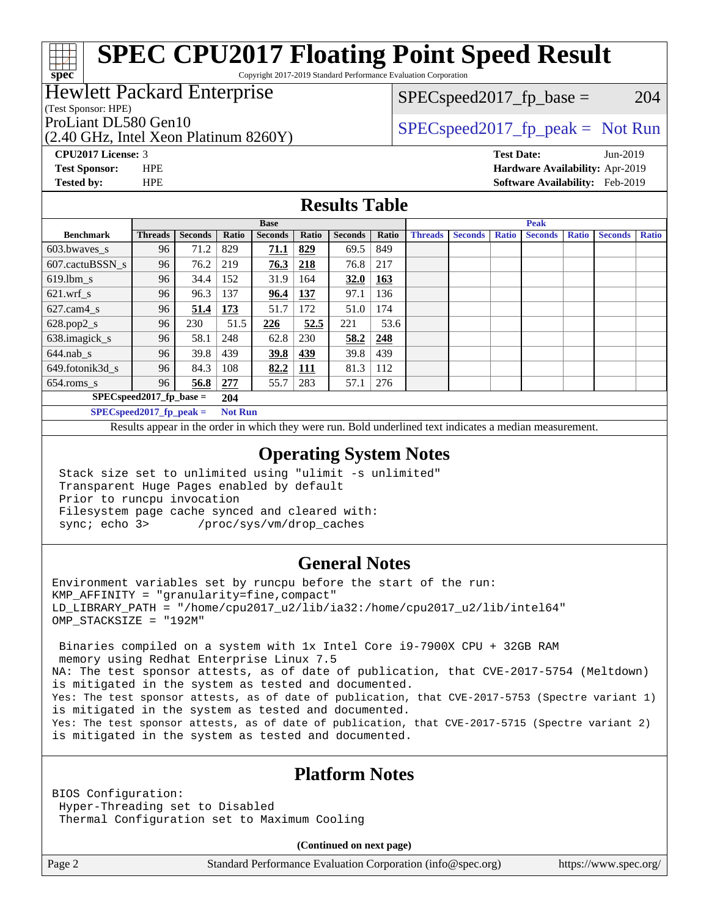Copyright 2017-2019 Standard Performance Evaluation Corporation

### Hewlett Packard Enterprise

(Test Sponsor: HPE)

**[spec](http://www.spec.org/)**

ProLiant DL580 Gen10  $SPEC speed2017$  fp\_peak = Not Run

 $SPEC speed2017_fp\_base = 204$ 

(2.40 GHz, Intel Xeon Platinum 8260Y)

**[CPU2017 License:](http://www.spec.org/auto/cpu2017/Docs/result-fields.html#CPU2017License)** 3 **[Test Date:](http://www.spec.org/auto/cpu2017/Docs/result-fields.html#TestDate)** Jun-2019 **[Test Sponsor:](http://www.spec.org/auto/cpu2017/Docs/result-fields.html#TestSponsor)** HPE **[Hardware Availability:](http://www.spec.org/auto/cpu2017/Docs/result-fields.html#HardwareAvailability)** Apr-2019 **[Tested by:](http://www.spec.org/auto/cpu2017/Docs/result-fields.html#Testedby)** HPE **[Software Availability:](http://www.spec.org/auto/cpu2017/Docs/result-fields.html#SoftwareAvailability)** Feb-2019

### **[Results Table](http://www.spec.org/auto/cpu2017/Docs/result-fields.html#ResultsTable)**

| <b>Base</b>              |                            |                |                | <b>Peak</b>    |            |                |       |                |                |              |                |              |                |              |
|--------------------------|----------------------------|----------------|----------------|----------------|------------|----------------|-------|----------------|----------------|--------------|----------------|--------------|----------------|--------------|
| <b>Benchmark</b>         | <b>Threads</b>             | <b>Seconds</b> | Ratio          | <b>Seconds</b> | Ratio      | <b>Seconds</b> | Ratio | <b>Threads</b> | <b>Seconds</b> | <b>Ratio</b> | <b>Seconds</b> | <b>Ratio</b> | <b>Seconds</b> | <b>Ratio</b> |
| $603.bwaves$ s           | 96                         | 71.2           | 829            | 71.1           | 829        | 69.5           | 849   |                |                |              |                |              |                |              |
| 607.cactuBSSN s          | 96                         | 76.2           | 219            | 76.3           | 218        | 76.8           | 217   |                |                |              |                |              |                |              |
| $619.1$ bm s             | 96                         | 34.4           | 152            | 31.9           | 164        | 32.0           | 163   |                |                |              |                |              |                |              |
| $621$ .wrf s             | 96                         | 96.3           | 137            | 96.4           | 137        | 97.1           | 136   |                |                |              |                |              |                |              |
| $627$ .cam $4 \text{ s}$ | 96                         | 51.4           | 173            | 51.7           | 172        | 51.0           | 174   |                |                |              |                |              |                |              |
| $628.pop2_s$             | 96                         | 230            | 51.5           | 226            | 52.5       | 221            | 53.6  |                |                |              |                |              |                |              |
| 638.imagick_s            | 96                         | 58.1           | 248            | 62.8           | 230        | 58.2           | 248   |                |                |              |                |              |                |              |
| $644$ .nab s             | 96                         | 39.8           | 439            | 39.8           | 439        | 39.8           | 439   |                |                |              |                |              |                |              |
| 649.fotonik3d s          | 96                         | 84.3           | 108            | 82.2           | <b>111</b> | 81.3           | 112   |                |                |              |                |              |                |              |
| $654$ .roms s            | 96                         | 56.8           | 277            | 55.7           | 283        | 57.1           | 276   |                |                |              |                |              |                |              |
|                          | $SPEC speed2017$ fp base = |                | 204            |                |            |                |       |                |                |              |                |              |                |              |
|                          | SPECspeed 2017 fp peak $=$ |                | <b>Not Run</b> |                |            |                |       |                |                |              |                |              |                |              |

Results appear in the [order in which they were run.](http://www.spec.org/auto/cpu2017/Docs/result-fields.html#RunOrder) Bold underlined text [indicates a median measurement](http://www.spec.org/auto/cpu2017/Docs/result-fields.html#Median).

### **[Operating System Notes](http://www.spec.org/auto/cpu2017/Docs/result-fields.html#OperatingSystemNotes)**

 Stack size set to unlimited using "ulimit -s unlimited" Transparent Huge Pages enabled by default Prior to runcpu invocation Filesystem page cache synced and cleared with: sync; echo 3> /proc/sys/vm/drop\_caches

### **[General Notes](http://www.spec.org/auto/cpu2017/Docs/result-fields.html#GeneralNotes)**

Environment variables set by runcpu before the start of the run:  $KMP$  AFFINITY = "granularity=fine, compact" LD\_LIBRARY\_PATH = "/home/cpu2017\_u2/lib/ia32:/home/cpu2017\_u2/lib/intel64" OMP\_STACKSIZE = "192M"

 Binaries compiled on a system with 1x Intel Core i9-7900X CPU + 32GB RAM memory using Redhat Enterprise Linux 7.5 NA: The test sponsor attests, as of date of publication, that CVE-2017-5754 (Meltdown) is mitigated in the system as tested and documented. Yes: The test sponsor attests, as of date of publication, that CVE-2017-5753 (Spectre variant 1) is mitigated in the system as tested and documented. Yes: The test sponsor attests, as of date of publication, that CVE-2017-5715 (Spectre variant 2) is mitigated in the system as tested and documented.

### **[Platform Notes](http://www.spec.org/auto/cpu2017/Docs/result-fields.html#PlatformNotes)**

BIOS Configuration: Hyper-Threading set to Disabled Thermal Configuration set to Maximum Cooling

**(Continued on next page)**

Page 2 Standard Performance Evaluation Corporation [\(info@spec.org\)](mailto:info@spec.org) <https://www.spec.org/>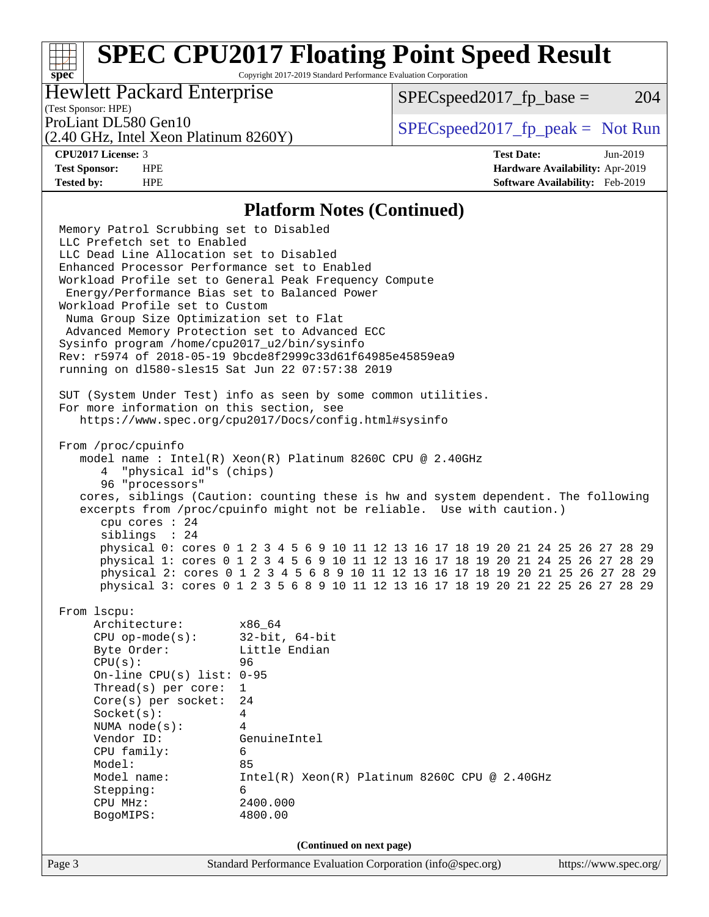Copyright 2017-2019 Standard Performance Evaluation Corporation

### Hewlett Packard Enterprise

 $SPEC speed2017_fp\_base = 204$ 

### (Test Sponsor: HPE)

(2.40 GHz, Intel Xeon Platinum 8260Y)

ProLiant DL580 Gen10  $SPEC speed2017$  [p\_peak = Not Run

**[spec](http://www.spec.org/)**

**[CPU2017 License:](http://www.spec.org/auto/cpu2017/Docs/result-fields.html#CPU2017License)** 3 **[Test Date:](http://www.spec.org/auto/cpu2017/Docs/result-fields.html#TestDate)** Jun-2019 **[Test Sponsor:](http://www.spec.org/auto/cpu2017/Docs/result-fields.html#TestSponsor)** HPE **[Hardware Availability:](http://www.spec.org/auto/cpu2017/Docs/result-fields.html#HardwareAvailability)** Apr-2019 **[Tested by:](http://www.spec.org/auto/cpu2017/Docs/result-fields.html#Testedby)** HPE **[Software Availability:](http://www.spec.org/auto/cpu2017/Docs/result-fields.html#SoftwareAvailability)** Feb-2019

#### **[Platform Notes \(Continued\)](http://www.spec.org/auto/cpu2017/Docs/result-fields.html#PlatformNotes)**

Page 3 Standard Performance Evaluation Corporation [\(info@spec.org\)](mailto:info@spec.org) <https://www.spec.org/> Memory Patrol Scrubbing set to Disabled LLC Prefetch set to Enabled LLC Dead Line Allocation set to Disabled Enhanced Processor Performance set to Enabled Workload Profile set to General Peak Frequency Compute Energy/Performance Bias set to Balanced Power Workload Profile set to Custom Numa Group Size Optimization set to Flat Advanced Memory Protection set to Advanced ECC Sysinfo program /home/cpu2017\_u2/bin/sysinfo Rev: r5974 of 2018-05-19 9bcde8f2999c33d61f64985e45859ea9 running on dl580-sles15 Sat Jun 22 07:57:38 2019 SUT (System Under Test) info as seen by some common utilities. For more information on this section, see <https://www.spec.org/cpu2017/Docs/config.html#sysinfo> From /proc/cpuinfo model name : Intel(R) Xeon(R) Platinum 8260C CPU @ 2.40GHz 4 "physical id"s (chips) 96 "processors" cores, siblings (Caution: counting these is hw and system dependent. The following excerpts from /proc/cpuinfo might not be reliable. Use with caution.) cpu cores : 24 siblings : 24 physical 0: cores 0 1 2 3 4 5 6 9 10 11 12 13 16 17 18 19 20 21 24 25 26 27 28 29 physical 1: cores 0 1 2 3 4 5 6 9 10 11 12 13 16 17 18 19 20 21 24 25 26 27 28 29 physical 2: cores 0 1 2 3 4 5 6 8 9 10 11 12 13 16 17 18 19 20 21 25 26 27 28 29 physical 3: cores 0 1 2 3 5 6 8 9 10 11 12 13 16 17 18 19 20 21 22 25 26 27 28 29 From lscpu: Architecture: x86\_64 CPU op-mode(s): 32-bit, 64-bit Byte Order: Little Endian CPU(s): 96 On-line CPU(s) list: 0-95 Thread(s) per core: 1 Core(s) per socket: 24 Socket(s): 4 NUMA node(s): 4 Vendor ID: GenuineIntel CPU family: 6 Model: 85 Model name: Intel(R) Xeon(R) Platinum 8260C CPU @ 2.40GHz Stepping: 6 CPU MHz: 2400.000 BogoMIPS: 4800.00 **(Continued on next page)**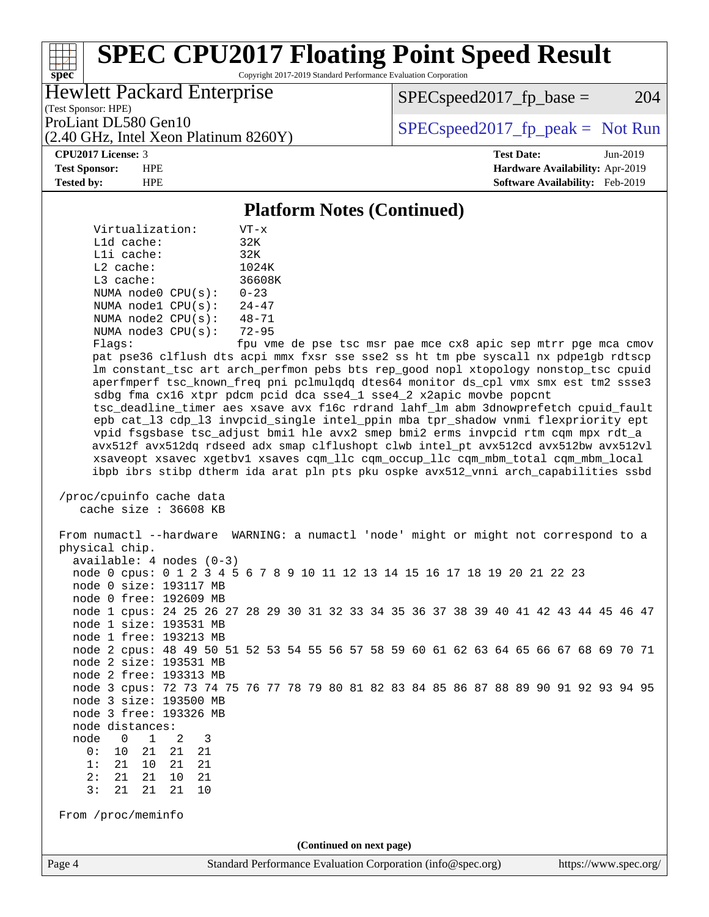Copyright 2017-2019 Standard Performance Evaluation Corporation

### Hewlett Packard Enterprise

(2.40 GHz, Intel Xeon Platinum 8260Y)

 $SPEC speed2017_fp\_base = 204$ 

(Test Sponsor: HPE)

ProLiant DL580 Gen10  $SPEC speed2017$  [p\_peak = Not Run

**[spec](http://www.spec.org/)**

**[CPU2017 License:](http://www.spec.org/auto/cpu2017/Docs/result-fields.html#CPU2017License)** 3 **[Test Date:](http://www.spec.org/auto/cpu2017/Docs/result-fields.html#TestDate)** Jun-2019 **[Test Sponsor:](http://www.spec.org/auto/cpu2017/Docs/result-fields.html#TestSponsor)** HPE **[Hardware Availability:](http://www.spec.org/auto/cpu2017/Docs/result-fields.html#HardwareAvailability)** Apr-2019 **[Tested by:](http://www.spec.org/auto/cpu2017/Docs/result-fields.html#Testedby)** HPE **[Software Availability:](http://www.spec.org/auto/cpu2017/Docs/result-fields.html#SoftwareAvailability)** Feb-2019

#### **[Platform Notes \(Continued\)](http://www.spec.org/auto/cpu2017/Docs/result-fields.html#PlatformNotes)**

| Virtualization:         | $VT - x$           |
|-------------------------|--------------------|
| L1d cache:              | 32K                |
| Lli cache:              | 32K                |
| $L2$ cache:             | 1024K              |
| $L3$ cache:             | 36608K             |
| NUMA $node0$ $CPU(s)$ : | $0 - 23$           |
| NUMA nodel CPU(s):      | $24 - 47$          |
| NUMA node2 CPU(s):      | $48 - 71$          |
| NUMA node3 CPU(s):      | $72 - 95$          |
| $F1 \sim 20$            | $f_{max}$ $\ldots$ |

Flags: fpu vme de pse tsc msr pae mce cx8 apic sep mtrr pge mca cmov pat pse36 clflush dts acpi mmx fxsr sse sse2 ss ht tm pbe syscall nx pdpe1gb rdtscp lm constant\_tsc art arch\_perfmon pebs bts rep\_good nopl xtopology nonstop\_tsc cpuid aperfmperf tsc\_known\_freq pni pclmulqdq dtes64 monitor ds\_cpl vmx smx est tm2 ssse3 sdbg fma cx16 xtpr pdcm pcid dca sse4\_1 sse4\_2 x2apic movbe popcnt tsc\_deadline\_timer aes xsave avx f16c rdrand lahf\_lm abm 3dnowprefetch cpuid\_fault epb cat\_l3 cdp\_l3 invpcid\_single intel\_ppin mba tpr\_shadow vnmi flexpriority ept vpid fsgsbase tsc\_adjust bmi1 hle avx2 smep bmi2 erms invpcid rtm cqm mpx rdt\_a avx512f avx512dq rdseed adx smap clflushopt clwb intel\_pt avx512cd avx512bw avx512vl xsaveopt xsavec xgetbv1 xsaves cqm\_llc cqm\_occup\_llc cqm\_mbm\_total cqm\_mbm\_local ibpb ibrs stibp dtherm ida arat pln pts pku ospke avx512\_vnni arch\_capabilities ssbd

 /proc/cpuinfo cache data cache size : 36608 KB

Page 4 Standard Performance Evaluation Corporation [\(info@spec.org\)](mailto:info@spec.org) <https://www.spec.org/> From numactl --hardware WARNING: a numactl 'node' might or might not correspond to a physical chip. available: 4 nodes (0-3) node 0 cpus: 0 1 2 3 4 5 6 7 8 9 10 11 12 13 14 15 16 17 18 19 20 21 22 23 node 0 size: 193117 MB node 0 free: 192609 MB node 1 cpus: 24 25 26 27 28 29 30 31 32 33 34 35 36 37 38 39 40 41 42 43 44 45 46 47 node 1 size: 193531 MB node 1 free: 193213 MB node 2 cpus: 48 49 50 51 52 53 54 55 56 57 58 59 60 61 62 63 64 65 66 67 68 69 70 71 node 2 size: 193531 MB node 2 free: 193313 MB node 3 cpus: 72 73 74 75 76 77 78 79 80 81 82 83 84 85 86 87 88 89 90 91 92 93 94 95 node 3 size: 193500 MB node 3 free: 193326 MB node distances: node 0 1 2 3 0: 10 21 21 21 1: 21 10 21 21 2: 21 21 10 21 3: 21 21 21 From /proc/meminfo **(Continued on next page)**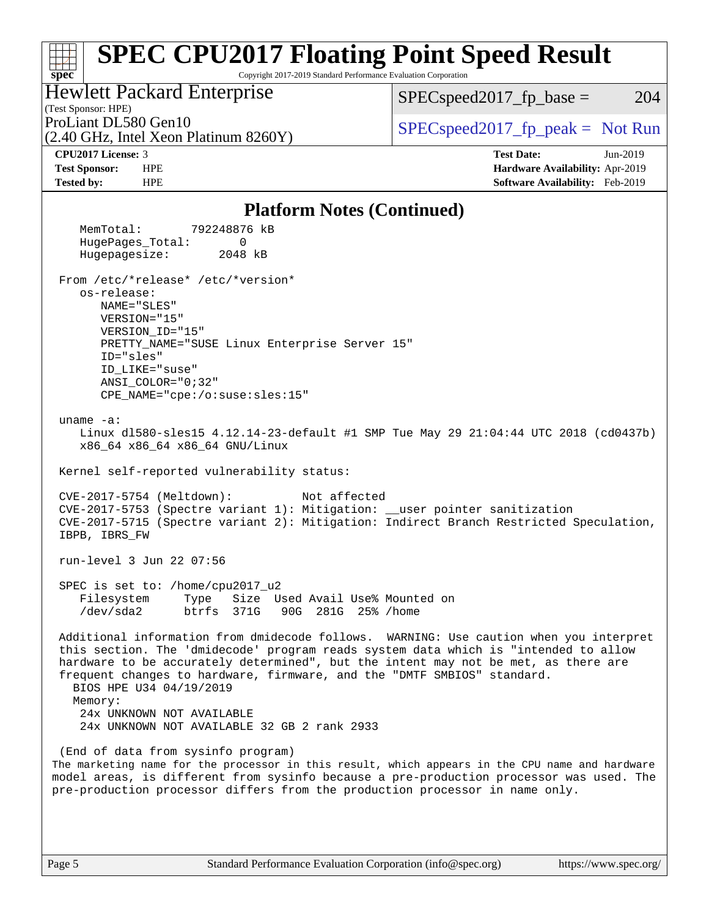#### **[spec](http://www.spec.org/) [SPEC CPU2017 Floating Point Speed Result](http://www.spec.org/auto/cpu2017/Docs/result-fields.html#SPECCPU2017FloatingPointSpeedResult)** Copyright 2017-2019 Standard Performance Evaluation Corporation (Test Sponsor: HPE) Hewlett Packard Enterprise (2.40 GHz, Intel Xeon Platinum 8260Y) ProLiant DL580 Gen10  $SPEC speed2017$  [p\_peak = Not Run  $SPEC speed2017_fp\_base = 204$ **[CPU2017 License:](http://www.spec.org/auto/cpu2017/Docs/result-fields.html#CPU2017License)** 3 **[Test Date:](http://www.spec.org/auto/cpu2017/Docs/result-fields.html#TestDate)** Jun-2019 **[Test Sponsor:](http://www.spec.org/auto/cpu2017/Docs/result-fields.html#TestSponsor)** HPE **[Hardware Availability:](http://www.spec.org/auto/cpu2017/Docs/result-fields.html#HardwareAvailability)** Apr-2019 **[Tested by:](http://www.spec.org/auto/cpu2017/Docs/result-fields.html#Testedby)** HPE **[Software Availability:](http://www.spec.org/auto/cpu2017/Docs/result-fields.html#SoftwareAvailability)** Feb-2019 **[Platform Notes \(Continued\)](http://www.spec.org/auto/cpu2017/Docs/result-fields.html#PlatformNotes)** MemTotal: 792248876 kB HugePages\_Total: 0 Hugepagesize: 2048 kB From /etc/\*release\* /etc/\*version\* os-release: NAME="SLES" VERSION="15" VERSION\_ID="15" PRETTY\_NAME="SUSE Linux Enterprise Server 15" ID="sles" ID\_LIKE="suse" ANSI\_COLOR="0;32" CPE\_NAME="cpe:/o:suse:sles:15" uname -a: Linux dl580-sles15 4.12.14-23-default #1 SMP Tue May 29 21:04:44 UTC 2018 (cd0437b) x86\_64 x86\_64 x86\_64 GNU/Linux Kernel self-reported vulnerability status: CVE-2017-5754 (Meltdown): Not affected CVE-2017-5753 (Spectre variant 1): Mitigation: \_\_user pointer sanitization CVE-2017-5715 (Spectre variant 2): Mitigation: Indirect Branch Restricted Speculation, IBPB, IBRS\_FW run-level 3 Jun 22 07:56 SPEC is set to: /home/cpu2017\_u2 Filesystem Type Size Used Avail Use% Mounted on /dev/sda2 btrfs 371G 90G 281G 25% /home Additional information from dmidecode follows. WARNING: Use caution when you interpret this section. The 'dmidecode' program reads system data which is "intended to allow hardware to be accurately determined", but the intent may not be met, as there are frequent changes to hardware, firmware, and the "DMTF SMBIOS" standard. BIOS HPE U34 04/19/2019 Memory: 24x UNKNOWN NOT AVAILABLE 24x UNKNOWN NOT AVAILABLE 32 GB 2 rank 2933 (End of data from sysinfo program)

The marketing name for the processor in this result, which appears in the CPU name and hardware model areas, is different from sysinfo because a pre-production processor was used. The pre-production processor differs from the production processor in name only.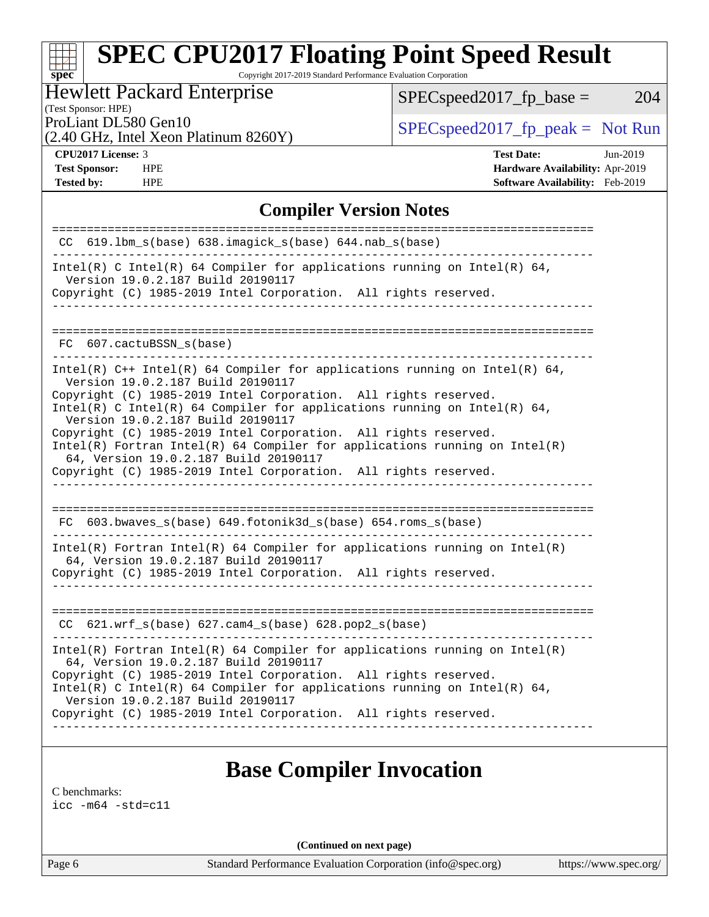Copyright 2017-2019 Standard Performance Evaluation Corporation

### Hewlett Packard Enterprise

 $SPEC speed2017_fp\_base = 204$ 

(Test Sponsor: HPE)

(2.40 GHz, Intel Xeon Platinum 8260Y)

ProLiant DL580 Gen10<br>  $\begin{array}{r} \text{SPEC speed2017\_fp\_peak = Not Run} \\ \text{SPEC speed2017\_fp\_peak = Not Run} \end{array}$ 

**[spec](http://www.spec.org/)**

**[Tested by:](http://www.spec.org/auto/cpu2017/Docs/result-fields.html#Testedby)** HPE **[Software Availability:](http://www.spec.org/auto/cpu2017/Docs/result-fields.html#SoftwareAvailability)** Feb-2019

**[CPU2017 License:](http://www.spec.org/auto/cpu2017/Docs/result-fields.html#CPU2017License)** 3 **[Test Date:](http://www.spec.org/auto/cpu2017/Docs/result-fields.html#TestDate)** Jun-2019 **[Test Sponsor:](http://www.spec.org/auto/cpu2017/Docs/result-fields.html#TestSponsor)** HPE **[Hardware Availability:](http://www.spec.org/auto/cpu2017/Docs/result-fields.html#HardwareAvailability)** Apr-2019

### **[Compiler Version Notes](http://www.spec.org/auto/cpu2017/Docs/result-fields.html#CompilerVersionNotes)**

| CC 619.1bm_s(base) 638.imagick_s(base) 644.nab_s(base)<br>Intel(R) C Intel(R) 64 Compiler for applications running on Intel(R) 64,<br>Version 19.0.2.187 Build 20190117<br>Copyright (C) 1985-2019 Intel Corporation. All rights reserved.<br>FC 607.cactuBSSN s(base)<br>Intel(R) $C++$ Intel(R) 64 Compiler for applications running on Intel(R) 64,<br>Version 19.0.2.187 Build 20190117<br>Copyright (C) 1985-2019 Intel Corporation. All rights reserved.<br>Intel(R) C Intel(R) 64 Compiler for applications running on Intel(R) 64,<br>Version 19.0.2.187 Build 20190117<br>Copyright (C) 1985-2019 Intel Corporation. All rights reserved.<br>Intel(R) Fortran Intel(R) 64 Compiler for applications running on $Intel(R)$<br>64, Version 19.0.2.187 Build 20190117<br>Copyright (C) 1985-2019 Intel Corporation. All rights reserved.<br>___________________________<br>$FC$ 603.bwaves_s(base) 649.fotonik3d_s(base) 654.roms_s(base)<br>$Intel(R)$ Fortran Intel(R) 64 Compiler for applications running on Intel(R)<br>64, Version 19.0.2.187 Build 20190117<br>Copyright (C) 1985-2019 Intel Corporation. All rights reserved.<br>$CC$ 621.wrf_s(base) 627.cam4_s(base) 628.pop2_s(base)<br>$Intel(R)$ Fortran Intel(R) 64 Compiler for applications running on Intel(R)<br>64, Version 19.0.2.187 Build 20190117<br>Copyright (C) 1985-2019 Intel Corporation. All rights reserved.<br>Intel(R) C Intel(R) 64 Compiler for applications running on Intel(R) 64,<br>Version 19.0.2.187 Build 20190117<br>Copyright (C) 1985-2019 Intel Corporation. All rights reserved. |  |
|---------------------------------------------------------------------------------------------------------------------------------------------------------------------------------------------------------------------------------------------------------------------------------------------------------------------------------------------------------------------------------------------------------------------------------------------------------------------------------------------------------------------------------------------------------------------------------------------------------------------------------------------------------------------------------------------------------------------------------------------------------------------------------------------------------------------------------------------------------------------------------------------------------------------------------------------------------------------------------------------------------------------------------------------------------------------------------------------------------------------------------------------------------------------------------------------------------------------------------------------------------------------------------------------------------------------------------------------------------------------------------------------------------------------------------------------------------------------------------------------------------------------------------------------------------------------------------------|--|
|                                                                                                                                                                                                                                                                                                                                                                                                                                                                                                                                                                                                                                                                                                                                                                                                                                                                                                                                                                                                                                                                                                                                                                                                                                                                                                                                                                                                                                                                                                                                                                                       |  |
|                                                                                                                                                                                                                                                                                                                                                                                                                                                                                                                                                                                                                                                                                                                                                                                                                                                                                                                                                                                                                                                                                                                                                                                                                                                                                                                                                                                                                                                                                                                                                                                       |  |
|                                                                                                                                                                                                                                                                                                                                                                                                                                                                                                                                                                                                                                                                                                                                                                                                                                                                                                                                                                                                                                                                                                                                                                                                                                                                                                                                                                                                                                                                                                                                                                                       |  |
|                                                                                                                                                                                                                                                                                                                                                                                                                                                                                                                                                                                                                                                                                                                                                                                                                                                                                                                                                                                                                                                                                                                                                                                                                                                                                                                                                                                                                                                                                                                                                                                       |  |
|                                                                                                                                                                                                                                                                                                                                                                                                                                                                                                                                                                                                                                                                                                                                                                                                                                                                                                                                                                                                                                                                                                                                                                                                                                                                                                                                                                                                                                                                                                                                                                                       |  |
|                                                                                                                                                                                                                                                                                                                                                                                                                                                                                                                                                                                                                                                                                                                                                                                                                                                                                                                                                                                                                                                                                                                                                                                                                                                                                                                                                                                                                                                                                                                                                                                       |  |
|                                                                                                                                                                                                                                                                                                                                                                                                                                                                                                                                                                                                                                                                                                                                                                                                                                                                                                                                                                                                                                                                                                                                                                                                                                                                                                                                                                                                                                                                                                                                                                                       |  |
|                                                                                                                                                                                                                                                                                                                                                                                                                                                                                                                                                                                                                                                                                                                                                                                                                                                                                                                                                                                                                                                                                                                                                                                                                                                                                                                                                                                                                                                                                                                                                                                       |  |
|                                                                                                                                                                                                                                                                                                                                                                                                                                                                                                                                                                                                                                                                                                                                                                                                                                                                                                                                                                                                                                                                                                                                                                                                                                                                                                                                                                                                                                                                                                                                                                                       |  |
|                                                                                                                                                                                                                                                                                                                                                                                                                                                                                                                                                                                                                                                                                                                                                                                                                                                                                                                                                                                                                                                                                                                                                                                                                                                                                                                                                                                                                                                                                                                                                                                       |  |
|                                                                                                                                                                                                                                                                                                                                                                                                                                                                                                                                                                                                                                                                                                                                                                                                                                                                                                                                                                                                                                                                                                                                                                                                                                                                                                                                                                                                                                                                                                                                                                                       |  |
|                                                                                                                                                                                                                                                                                                                                                                                                                                                                                                                                                                                                                                                                                                                                                                                                                                                                                                                                                                                                                                                                                                                                                                                                                                                                                                                                                                                                                                                                                                                                                                                       |  |
|                                                                                                                                                                                                                                                                                                                                                                                                                                                                                                                                                                                                                                                                                                                                                                                                                                                                                                                                                                                                                                                                                                                                                                                                                                                                                                                                                                                                                                                                                                                                                                                       |  |
|                                                                                                                                                                                                                                                                                                                                                                                                                                                                                                                                                                                                                                                                                                                                                                                                                                                                                                                                                                                                                                                                                                                                                                                                                                                                                                                                                                                                                                                                                                                                                                                       |  |
|                                                                                                                                                                                                                                                                                                                                                                                                                                                                                                                                                                                                                                                                                                                                                                                                                                                                                                                                                                                                                                                                                                                                                                                                                                                                                                                                                                                                                                                                                                                                                                                       |  |
|                                                                                                                                                                                                                                                                                                                                                                                                                                                                                                                                                                                                                                                                                                                                                                                                                                                                                                                                                                                                                                                                                                                                                                                                                                                                                                                                                                                                                                                                                                                                                                                       |  |
|                                                                                                                                                                                                                                                                                                                                                                                                                                                                                                                                                                                                                                                                                                                                                                                                                                                                                                                                                                                                                                                                                                                                                                                                                                                                                                                                                                                                                                                                                                                                                                                       |  |
|                                                                                                                                                                                                                                                                                                                                                                                                                                                                                                                                                                                                                                                                                                                                                                                                                                                                                                                                                                                                                                                                                                                                                                                                                                                                                                                                                                                                                                                                                                                                                                                       |  |

### **[Base Compiler Invocation](http://www.spec.org/auto/cpu2017/Docs/result-fields.html#BaseCompilerInvocation)**

[C benchmarks](http://www.spec.org/auto/cpu2017/Docs/result-fields.html#Cbenchmarks):

[icc -m64 -std=c11](http://www.spec.org/cpu2017/results/res2019q3/cpu2017-20190709-16151.flags.html#user_CCbase_intel_icc_64bit_c11_33ee0cdaae7deeeab2a9725423ba97205ce30f63b9926c2519791662299b76a0318f32ddfffdc46587804de3178b4f9328c46fa7c2b0cd779d7a61945c91cd35)

**(Continued on next page)**

Page 6 Standard Performance Evaluation Corporation [\(info@spec.org\)](mailto:info@spec.org) <https://www.spec.org/>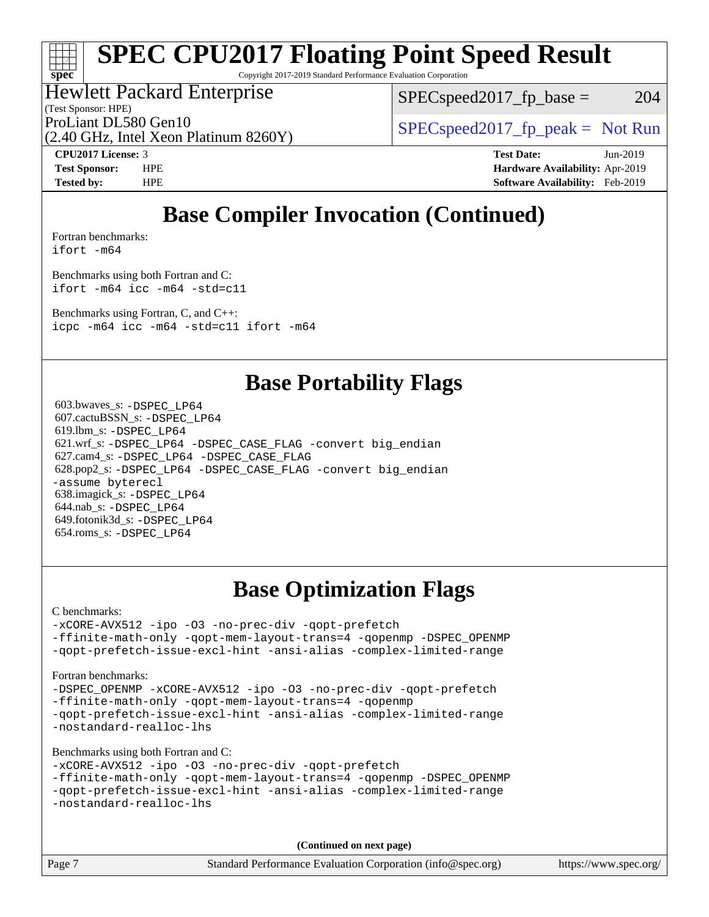Copyright 2017-2019 Standard Performance Evaluation Corporation

### Hewlett Packard Enterprise

(Test Sponsor: HPE)

 $SPEC speed2017_fp\_base = 204$ 

ProLiant DL580 Gen10  $SPEC speed2017$  [p\_peak = Not Run

(2.40 GHz, Intel Xeon Platinum 8260Y)

**[spec](http://www.spec.org/)**

**[CPU2017 License:](http://www.spec.org/auto/cpu2017/Docs/result-fields.html#CPU2017License)** 3 **[Test Date:](http://www.spec.org/auto/cpu2017/Docs/result-fields.html#TestDate)** Jun-2019 **[Test Sponsor:](http://www.spec.org/auto/cpu2017/Docs/result-fields.html#TestSponsor)** HPE **[Hardware Availability:](http://www.spec.org/auto/cpu2017/Docs/result-fields.html#HardwareAvailability)** Apr-2019 **[Tested by:](http://www.spec.org/auto/cpu2017/Docs/result-fields.html#Testedby)** HPE **[Software Availability:](http://www.spec.org/auto/cpu2017/Docs/result-fields.html#SoftwareAvailability)** Feb-2019

## **[Base Compiler Invocation \(Continued\)](http://www.spec.org/auto/cpu2017/Docs/result-fields.html#BaseCompilerInvocation)**

[Fortran benchmarks](http://www.spec.org/auto/cpu2017/Docs/result-fields.html#Fortranbenchmarks): [ifort -m64](http://www.spec.org/cpu2017/results/res2019q3/cpu2017-20190709-16151.flags.html#user_FCbase_intel_ifort_64bit_24f2bb282fbaeffd6157abe4f878425411749daecae9a33200eee2bee2fe76f3b89351d69a8130dd5949958ce389cf37ff59a95e7a40d588e8d3a57e0c3fd751)

[Benchmarks using both Fortran and C](http://www.spec.org/auto/cpu2017/Docs/result-fields.html#BenchmarksusingbothFortranandC): [ifort -m64](http://www.spec.org/cpu2017/results/res2019q3/cpu2017-20190709-16151.flags.html#user_CC_FCbase_intel_ifort_64bit_24f2bb282fbaeffd6157abe4f878425411749daecae9a33200eee2bee2fe76f3b89351d69a8130dd5949958ce389cf37ff59a95e7a40d588e8d3a57e0c3fd751) [icc -m64 -std=c11](http://www.spec.org/cpu2017/results/res2019q3/cpu2017-20190709-16151.flags.html#user_CC_FCbase_intel_icc_64bit_c11_33ee0cdaae7deeeab2a9725423ba97205ce30f63b9926c2519791662299b76a0318f32ddfffdc46587804de3178b4f9328c46fa7c2b0cd779d7a61945c91cd35)

[Benchmarks using Fortran, C, and C++:](http://www.spec.org/auto/cpu2017/Docs/result-fields.html#BenchmarksusingFortranCandCXX) [icpc -m64](http://www.spec.org/cpu2017/results/res2019q3/cpu2017-20190709-16151.flags.html#user_CC_CXX_FCbase_intel_icpc_64bit_4ecb2543ae3f1412ef961e0650ca070fec7b7afdcd6ed48761b84423119d1bf6bdf5cad15b44d48e7256388bc77273b966e5eb805aefd121eb22e9299b2ec9d9) [icc -m64 -std=c11](http://www.spec.org/cpu2017/results/res2019q3/cpu2017-20190709-16151.flags.html#user_CC_CXX_FCbase_intel_icc_64bit_c11_33ee0cdaae7deeeab2a9725423ba97205ce30f63b9926c2519791662299b76a0318f32ddfffdc46587804de3178b4f9328c46fa7c2b0cd779d7a61945c91cd35) [ifort -m64](http://www.spec.org/cpu2017/results/res2019q3/cpu2017-20190709-16151.flags.html#user_CC_CXX_FCbase_intel_ifort_64bit_24f2bb282fbaeffd6157abe4f878425411749daecae9a33200eee2bee2fe76f3b89351d69a8130dd5949958ce389cf37ff59a95e7a40d588e8d3a57e0c3fd751)

### **[Base Portability Flags](http://www.spec.org/auto/cpu2017/Docs/result-fields.html#BasePortabilityFlags)**

 603.bwaves\_s: [-DSPEC\\_LP64](http://www.spec.org/cpu2017/results/res2019q3/cpu2017-20190709-16151.flags.html#suite_basePORTABILITY603_bwaves_s_DSPEC_LP64) 607.cactuBSSN\_s: [-DSPEC\\_LP64](http://www.spec.org/cpu2017/results/res2019q3/cpu2017-20190709-16151.flags.html#suite_basePORTABILITY607_cactuBSSN_s_DSPEC_LP64) 619.lbm\_s: [-DSPEC\\_LP64](http://www.spec.org/cpu2017/results/res2019q3/cpu2017-20190709-16151.flags.html#suite_basePORTABILITY619_lbm_s_DSPEC_LP64) 621.wrf\_s: [-DSPEC\\_LP64](http://www.spec.org/cpu2017/results/res2019q3/cpu2017-20190709-16151.flags.html#suite_basePORTABILITY621_wrf_s_DSPEC_LP64) [-DSPEC\\_CASE\\_FLAG](http://www.spec.org/cpu2017/results/res2019q3/cpu2017-20190709-16151.flags.html#b621.wrf_s_baseCPORTABILITY_DSPEC_CASE_FLAG) [-convert big\\_endian](http://www.spec.org/cpu2017/results/res2019q3/cpu2017-20190709-16151.flags.html#user_baseFPORTABILITY621_wrf_s_convert_big_endian_c3194028bc08c63ac5d04de18c48ce6d347e4e562e8892b8bdbdc0214820426deb8554edfa529a3fb25a586e65a3d812c835984020483e7e73212c4d31a38223) 627.cam4\_s: [-DSPEC\\_LP64](http://www.spec.org/cpu2017/results/res2019q3/cpu2017-20190709-16151.flags.html#suite_basePORTABILITY627_cam4_s_DSPEC_LP64) [-DSPEC\\_CASE\\_FLAG](http://www.spec.org/cpu2017/results/res2019q3/cpu2017-20190709-16151.flags.html#b627.cam4_s_baseCPORTABILITY_DSPEC_CASE_FLAG) 628.pop2\_s: [-DSPEC\\_LP64](http://www.spec.org/cpu2017/results/res2019q3/cpu2017-20190709-16151.flags.html#suite_basePORTABILITY628_pop2_s_DSPEC_LP64) [-DSPEC\\_CASE\\_FLAG](http://www.spec.org/cpu2017/results/res2019q3/cpu2017-20190709-16151.flags.html#b628.pop2_s_baseCPORTABILITY_DSPEC_CASE_FLAG) [-convert big\\_endian](http://www.spec.org/cpu2017/results/res2019q3/cpu2017-20190709-16151.flags.html#user_baseFPORTABILITY628_pop2_s_convert_big_endian_c3194028bc08c63ac5d04de18c48ce6d347e4e562e8892b8bdbdc0214820426deb8554edfa529a3fb25a586e65a3d812c835984020483e7e73212c4d31a38223) [-assume byterecl](http://www.spec.org/cpu2017/results/res2019q3/cpu2017-20190709-16151.flags.html#user_baseFPORTABILITY628_pop2_s_assume_byterecl_7e47d18b9513cf18525430bbf0f2177aa9bf368bc7a059c09b2c06a34b53bd3447c950d3f8d6c70e3faf3a05c8557d66a5798b567902e8849adc142926523472) 638.imagick\_s: [-DSPEC\\_LP64](http://www.spec.org/cpu2017/results/res2019q3/cpu2017-20190709-16151.flags.html#suite_basePORTABILITY638_imagick_s_DSPEC_LP64) 644.nab\_s: [-DSPEC\\_LP64](http://www.spec.org/cpu2017/results/res2019q3/cpu2017-20190709-16151.flags.html#suite_basePORTABILITY644_nab_s_DSPEC_LP64) 649.fotonik3d\_s: [-DSPEC\\_LP64](http://www.spec.org/cpu2017/results/res2019q3/cpu2017-20190709-16151.flags.html#suite_basePORTABILITY649_fotonik3d_s_DSPEC_LP64) 654.roms\_s: [-DSPEC\\_LP64](http://www.spec.org/cpu2017/results/res2019q3/cpu2017-20190709-16151.flags.html#suite_basePORTABILITY654_roms_s_DSPEC_LP64)

## **[Base Optimization Flags](http://www.spec.org/auto/cpu2017/Docs/result-fields.html#BaseOptimizationFlags)**

[C benchmarks](http://www.spec.org/auto/cpu2017/Docs/result-fields.html#Cbenchmarks):

[-xCORE-AVX512](http://www.spec.org/cpu2017/results/res2019q3/cpu2017-20190709-16151.flags.html#user_CCbase_f-xCORE-AVX512) [-ipo](http://www.spec.org/cpu2017/results/res2019q3/cpu2017-20190709-16151.flags.html#user_CCbase_f-ipo) [-O3](http://www.spec.org/cpu2017/results/res2019q3/cpu2017-20190709-16151.flags.html#user_CCbase_f-O3) [-no-prec-div](http://www.spec.org/cpu2017/results/res2019q3/cpu2017-20190709-16151.flags.html#user_CCbase_f-no-prec-div) [-qopt-prefetch](http://www.spec.org/cpu2017/results/res2019q3/cpu2017-20190709-16151.flags.html#user_CCbase_f-qopt-prefetch) [-ffinite-math-only](http://www.spec.org/cpu2017/results/res2019q3/cpu2017-20190709-16151.flags.html#user_CCbase_f_finite_math_only_cb91587bd2077682c4b38af759c288ed7c732db004271a9512da14a4f8007909a5f1427ecbf1a0fb78ff2a814402c6114ac565ca162485bbcae155b5e4258871) [-qopt-mem-layout-trans=4](http://www.spec.org/cpu2017/results/res2019q3/cpu2017-20190709-16151.flags.html#user_CCbase_f-qopt-mem-layout-trans_fa39e755916c150a61361b7846f310bcdf6f04e385ef281cadf3647acec3f0ae266d1a1d22d972a7087a248fd4e6ca390a3634700869573d231a252c784941a8) [-qopenmp](http://www.spec.org/cpu2017/results/res2019q3/cpu2017-20190709-16151.flags.html#user_CCbase_qopenmp_16be0c44f24f464004c6784a7acb94aca937f053568ce72f94b139a11c7c168634a55f6653758ddd83bcf7b8463e8028bb0b48b77bcddc6b78d5d95bb1df2967) [-DSPEC\\_OPENMP](http://www.spec.org/cpu2017/results/res2019q3/cpu2017-20190709-16151.flags.html#suite_CCbase_DSPEC_OPENMP) [-qopt-prefetch-issue-excl-hint](http://www.spec.org/cpu2017/results/res2019q3/cpu2017-20190709-16151.flags.html#user_CCbase_f-qopt-prefetch-issue-excl-hint) [-ansi-alias](http://www.spec.org/cpu2017/results/res2019q3/cpu2017-20190709-16151.flags.html#user_CCbase_f-ansi-alias) [-complex-limited-range](http://www.spec.org/cpu2017/results/res2019q3/cpu2017-20190709-16151.flags.html#user_CCbase_f-complex-limited-range)

[Fortran benchmarks](http://www.spec.org/auto/cpu2017/Docs/result-fields.html#Fortranbenchmarks):

[-DSPEC\\_OPENMP](http://www.spec.org/cpu2017/results/res2019q3/cpu2017-20190709-16151.flags.html#suite_FCbase_DSPEC_OPENMP) [-xCORE-AVX512](http://www.spec.org/cpu2017/results/res2019q3/cpu2017-20190709-16151.flags.html#user_FCbase_f-xCORE-AVX512) [-ipo](http://www.spec.org/cpu2017/results/res2019q3/cpu2017-20190709-16151.flags.html#user_FCbase_f-ipo) [-O3](http://www.spec.org/cpu2017/results/res2019q3/cpu2017-20190709-16151.flags.html#user_FCbase_f-O3) [-no-prec-div](http://www.spec.org/cpu2017/results/res2019q3/cpu2017-20190709-16151.flags.html#user_FCbase_f-no-prec-div) [-qopt-prefetch](http://www.spec.org/cpu2017/results/res2019q3/cpu2017-20190709-16151.flags.html#user_FCbase_f-qopt-prefetch) [-ffinite-math-only](http://www.spec.org/cpu2017/results/res2019q3/cpu2017-20190709-16151.flags.html#user_FCbase_f_finite_math_only_cb91587bd2077682c4b38af759c288ed7c732db004271a9512da14a4f8007909a5f1427ecbf1a0fb78ff2a814402c6114ac565ca162485bbcae155b5e4258871) [-qopt-mem-layout-trans=4](http://www.spec.org/cpu2017/results/res2019q3/cpu2017-20190709-16151.flags.html#user_FCbase_f-qopt-mem-layout-trans_fa39e755916c150a61361b7846f310bcdf6f04e385ef281cadf3647acec3f0ae266d1a1d22d972a7087a248fd4e6ca390a3634700869573d231a252c784941a8) [-qopenmp](http://www.spec.org/cpu2017/results/res2019q3/cpu2017-20190709-16151.flags.html#user_FCbase_qopenmp_16be0c44f24f464004c6784a7acb94aca937f053568ce72f94b139a11c7c168634a55f6653758ddd83bcf7b8463e8028bb0b48b77bcddc6b78d5d95bb1df2967) [-qopt-prefetch-issue-excl-hint](http://www.spec.org/cpu2017/results/res2019q3/cpu2017-20190709-16151.flags.html#user_FCbase_f-qopt-prefetch-issue-excl-hint) [-ansi-alias](http://www.spec.org/cpu2017/results/res2019q3/cpu2017-20190709-16151.flags.html#user_FCbase_f-ansi-alias) [-complex-limited-range](http://www.spec.org/cpu2017/results/res2019q3/cpu2017-20190709-16151.flags.html#user_FCbase_f-complex-limited-range) [-nostandard-realloc-lhs](http://www.spec.org/cpu2017/results/res2019q3/cpu2017-20190709-16151.flags.html#user_FCbase_f_2003_std_realloc_82b4557e90729c0f113870c07e44d33d6f5a304b4f63d4c15d2d0f1fab99f5daaed73bdb9275d9ae411527f28b936061aa8b9c8f2d63842963b95c9dd6426b8a)

[Benchmarks using both Fortran and C](http://www.spec.org/auto/cpu2017/Docs/result-fields.html#BenchmarksusingbothFortranandC):

```
-xCORE-AVX512 -ipo -O3 -no-prec-div -qopt-prefetch
-ffinite-math-only -qopt-mem-layout-trans=4 -qopenmp -DSPEC_OPENMP
-qopt-prefetch-issue-excl-hint -ansi-alias -complex-limited-range
-nostandard-realloc-lhs
```
**(Continued on next page)**